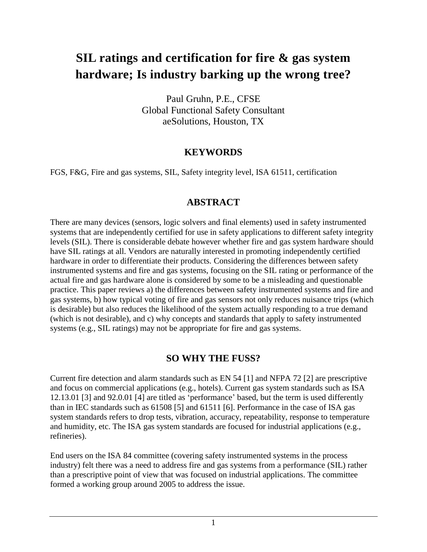# **SIL ratings and certification for fire & gas system hardware; Is industry barking up the wrong tree?**

Paul Gruhn, P.E., CFSE Global Functional Safety Consultant aeSolutions, Houston, TX

### **KEYWORDS**

FGS, F&G, Fire and gas systems, SIL, Safety integrity level, ISA 61511, certification

#### **ABSTRACT**

There are many devices (sensors, logic solvers and final elements) used in safety instrumented systems that are independently certified for use in safety applications to different safety integrity levels (SIL). There is considerable debate however whether fire and gas system hardware should have SIL ratings at all. Vendors are naturally interested in promoting independently certified hardware in order to differentiate their products. Considering the differences between safety instrumented systems and fire and gas systems, focusing on the SIL rating or performance of the actual fire and gas hardware alone is considered by some to be a misleading and questionable practice. This paper reviews a) the differences between safety instrumented systems and fire and gas systems, b) how typical voting of fire and gas sensors not only reduces nuisance trips (which is desirable) but also reduces the likelihood of the system actually responding to a true demand (which is not desirable), and c) why concepts and standards that apply to safety instrumented systems (e.g., SIL ratings) may not be appropriate for fire and gas systems.

### **SO WHY THE FUSS?**

Current fire detection and alarm standards such as EN 54 [1] and NFPA 72 [2] are prescriptive and focus on commercial applications (e.g., hotels). Current gas system standards such as ISA 12.13.01 [3] and 92.0.01 [4] are titled as 'performance' based, but the term is used differently than in IEC standards such as 61508 [5] and 61511 [6]. Performance in the case of ISA gas system standards refers to drop tests, vibration, accuracy, repeatability, response to temperature and humidity, etc. The ISA gas system standards are focused for industrial applications (e.g., refineries).

End users on the ISA 84 committee (covering safety instrumented systems in the process industry) felt there was a need to address fire and gas systems from a performance (SIL) rather than a prescriptive point of view that was focused on industrial applications. The committee formed a working group around 2005 to address the issue.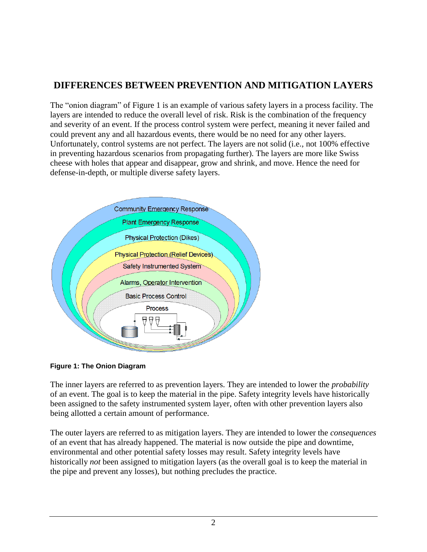# **DIFFERENCES BETWEEN PREVENTION AND MITIGATION LAYERS**

The "onion diagram" of Figure 1 is an example of various safety layers in a process facility. The layers are intended to reduce the overall level of risk. Risk is the combination of the frequency and severity of an event. If the process control system were perfect, meaning it never failed and could prevent any and all hazardous events, there would be no need for any other layers. Unfortunately, control systems are not perfect. The layers are not solid (i.e., not 100% effective in preventing hazardous scenarios from propagating further). The layers are more like Swiss cheese with holes that appear and disappear, grow and shrink, and move. Hence the need for defense-in-depth, or multiple diverse safety layers.



**Figure 1: The Onion Diagram**

The inner layers are referred to as prevention layers. They are intended to lower the *probability* of an event. The goal is to keep the material in the pipe. Safety integrity levels have historically been assigned to the safety instrumented system layer, often with other prevention layers also being allotted a certain amount of performance.

The outer layers are referred to as mitigation layers. They are intended to lower the *consequences* of an event that has already happened. The material is now outside the pipe and downtime, environmental and other potential safety losses may result. Safety integrity levels have historically *not* been assigned to mitigation layers (as the overall goal is to keep the material in the pipe and prevent any losses), but nothing precludes the practice.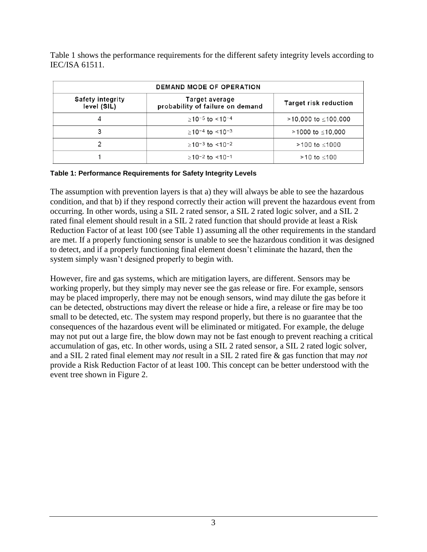Table 1 shows the performance requirements for the different safety integrity levels according to IEC/ISA 61511.

| <b>DEMAND MODE OF OPERATION</b>        |                                                    |                       |
|----------------------------------------|----------------------------------------------------|-----------------------|
| <b>Safety integrity</b><br>level (SIL) | Target average<br>probability of failure on demand | Target risk reduction |
| 4                                      | $>10^{-5}$ to $<10^{-4}$                           | >10,000 to ≤100,000   |
| 3                                      | $>10^{-4}$ to $<10^{-3}$                           | >1000 to ≤10,000      |
| າ                                      | $>10^{-3}$ to $<10^{-2}$                           | >100 to ≤1000         |
|                                        | $>10^{-2}$ to $<10^{-1}$                           | $>10$ to $< 100$      |

#### **Table 1: Performance Requirements for Safety Integrity Levels**

The assumption with prevention layers is that a) they will always be able to see the hazardous condition, and that b) if they respond correctly their action will prevent the hazardous event from occurring. In other words, using a SIL 2 rated sensor, a SIL 2 rated logic solver, and a SIL 2 rated final element should result in a SIL 2 rated function that should provide at least a Risk Reduction Factor of at least 100 (see Table 1) assuming all the other requirements in the standard are met. If a properly functioning sensor is unable to see the hazardous condition it was designed to detect, and if a properly functioning final element doesn't eliminate the hazard, then the system simply wasn't designed properly to begin with.

However, fire and gas systems, which are mitigation layers, are different. Sensors may be working properly, but they simply may never see the gas release or fire. For example, sensors may be placed improperly, there may not be enough sensors, wind may dilute the gas before it can be detected, obstructions may divert the release or hide a fire, a release or fire may be too small to be detected, etc. The system may respond properly, but there is no guarantee that the consequences of the hazardous event will be eliminated or mitigated. For example, the deluge may not put out a large fire, the blow down may not be fast enough to prevent reaching a critical accumulation of gas, etc. In other words, using a SIL 2 rated sensor, a SIL 2 rated logic solver, and a SIL 2 rated final element may *not* result in a SIL 2 rated fire & gas function that may *not*  provide a Risk Reduction Factor of at least 100. This concept can be better understood with the event tree shown in Figure 2.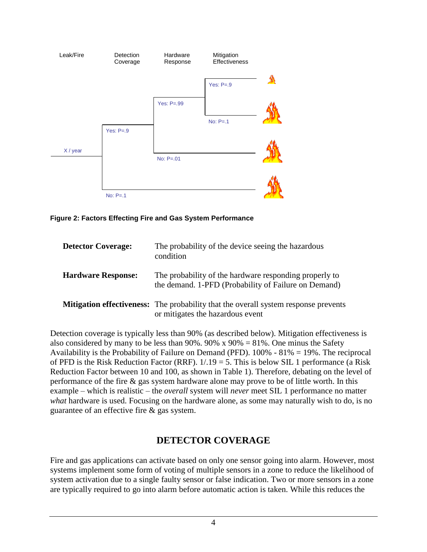

**Figure 2: Factors Effecting Fire and Gas System Performance**

| <b>Detector Coverage:</b> | The probability of the device seeing the hazardous<br>condition                                                                |
|---------------------------|--------------------------------------------------------------------------------------------------------------------------------|
| <b>Hardware Response:</b> | The probability of the hardware responding properly to<br>the demand. 1-PFD (Probability of Failure on Demand)                 |
|                           | <b>Mitigation effectiveness:</b> The probability that the overall system response prevents<br>or mitigates the hazardous event |

Detection coverage is typically less than 90% (as described below). Mitigation effectiveness is also considered by many to be less than  $90\%$ .  $90\% \times 90\% = 81\%$ . One minus the Safety Availability is the Probability of Failure on Demand (PFD). 100% - 81% = 19%. The reciprocal of PFD is the Risk Reduction Factor (RRF).  $1/19 = 5$ . This is below SIL 1 performance (a Risk Reduction Factor between 10 and 100, as shown in Table 1). Therefore, debating on the level of performance of the fire & gas system hardware alone may prove to be of little worth. In this example – which is realistic – the *overall* system will *never* meet SIL 1 performance no matter *what* hardware is used. Focusing on the hardware alone, as some may naturally wish to do, is no guarantee of an effective fire & gas system.

# **DETECTOR COVERAGE**

Fire and gas applications can activate based on only one sensor going into alarm. However, most systems implement some form of voting of multiple sensors in a zone to reduce the likelihood of system activation due to a single faulty sensor or false indication. Two or more sensors in a zone are typically required to go into alarm before automatic action is taken. While this reduces the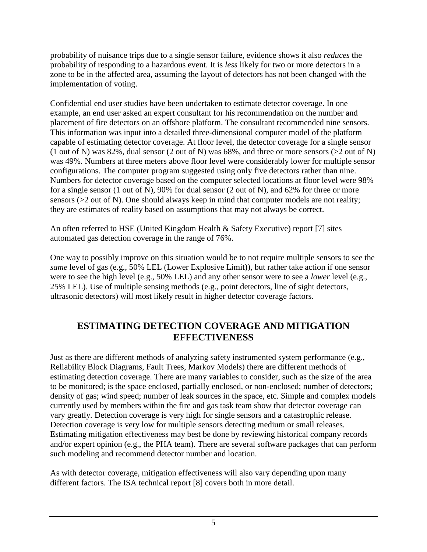probability of nuisance trips due to a single sensor failure, evidence shows it also *reduces* the probability of responding to a hazardous event. It is *less* likely for two or more detectors in a zone to be in the affected area, assuming the layout of detectors has not been changed with the implementation of voting.

Confidential end user studies have been undertaken to estimate detector coverage. In one example, an end user asked an expert consultant for his recommendation on the number and placement of fire detectors on an offshore platform. The consultant recommended nine sensors. This information was input into a detailed three-dimensional computer model of the platform capable of estimating detector coverage. At floor level, the detector coverage for a single sensor (1 out of N) was 82%, dual sensor (2 out of N) was 68%, and three or more sensors (>2 out of N) was 49%. Numbers at three meters above floor level were considerably lower for multiple sensor configurations. The computer program suggested using only five detectors rather than nine. Numbers for detector coverage based on the computer selected locations at floor level were 98% for a single sensor (1 out of N), 90% for dual sensor (2 out of N), and 62% for three or more sensors (>2 out of N). One should always keep in mind that computer models are not reality; they are estimates of reality based on assumptions that may not always be correct.

An often referred to HSE (United Kingdom Health & Safety Executive) report [7] sites automated gas detection coverage in the range of 76%.

One way to possibly improve on this situation would be to not require multiple sensors to see the *same* level of gas (e.g., 50% LEL (Lower Explosive Limit)), but rather take action if one sensor were to see the high level (e.g., 50% LEL) and any other sensor were to see a *lower* level (e.g., 25% LEL). Use of multiple sensing methods (e.g., point detectors, line of sight detectors, ultrasonic detectors) will most likely result in higher detector coverage factors.

### **ESTIMATING DETECTION COVERAGE AND MITIGATION EFFECTIVENESS**

Just as there are different methods of analyzing safety instrumented system performance (e.g., Reliability Block Diagrams, Fault Trees, Markov Models) there are different methods of estimating detection coverage. There are many variables to consider, such as the size of the area to be monitored; is the space enclosed, partially enclosed, or non-enclosed; number of detectors; density of gas; wind speed; number of leak sources in the space, etc. Simple and complex models currently used by members within the fire and gas task team show that detector coverage can vary greatly. Detection coverage is very high for single sensors and a catastrophic release. Detection coverage is very low for multiple sensors detecting medium or small releases. Estimating mitigation effectiveness may best be done by reviewing historical company records and/or expert opinion (e.g., the PHA team). There are several software packages that can perform such modeling and recommend detector number and location.

As with detector coverage, mitigation effectiveness will also vary depending upon many different factors. The ISA technical report [8] covers both in more detail.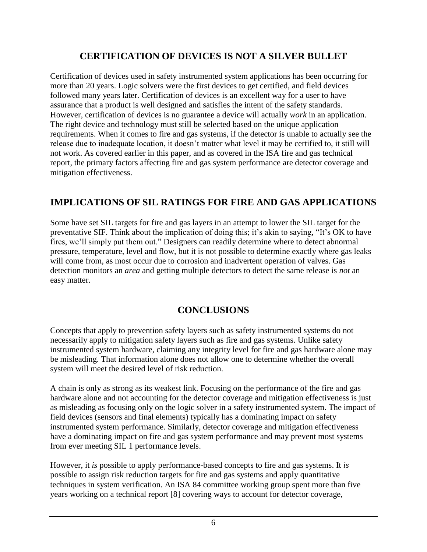# **CERTIFICATION OF DEVICES IS NOT A SILVER BULLET**

Certification of devices used in safety instrumented system applications has been occurring for more than 20 years. Logic solvers were the first devices to get certified, and field devices followed many years later. Certification of devices is an excellent way for a user to have assurance that a product is well designed and satisfies the intent of the safety standards. However, certification of devices is no guarantee a device will actually *work* in an application. The right device and technology must still be selected based on the unique application requirements. When it comes to fire and gas systems, if the detector is unable to actually see the release due to inadequate location, it doesn't matter what level it may be certified to, it still will not work. As covered earlier in this paper, and as covered in the ISA fire and gas technical report, the primary factors affecting fire and gas system performance are detector coverage and mitigation effectiveness.

# **IMPLICATIONS OF SIL RATINGS FOR FIRE AND GAS APPLICATIONS**

Some have set SIL targets for fire and gas layers in an attempt to lower the SIL target for the preventative SIF. Think about the implication of doing this; it's akin to saying, "It's OK to have fires, we'll simply put them out." Designers can readily determine where to detect abnormal pressure, temperature, level and flow, but it is not possible to determine exactly where gas leaks will come from, as most occur due to corrosion and inadvertent operation of valves. Gas detection monitors an *area* and getting multiple detectors to detect the same release is *not* an easy matter.

# **CONCLUSIONS**

Concepts that apply to prevention safety layers such as safety instrumented systems do not necessarily apply to mitigation safety layers such as fire and gas systems. Unlike safety instrumented system hardware, claiming any integrity level for fire and gas hardware alone may be misleading. That information alone does not allow one to determine whether the overall system will meet the desired level of risk reduction.

A chain is only as strong as its weakest link. Focusing on the performance of the fire and gas hardware alone and not accounting for the detector coverage and mitigation effectiveness is just as misleading as focusing only on the logic solver in a safety instrumented system. The impact of field devices (sensors and final elements) typically has a dominating impact on safety instrumented system performance. Similarly, detector coverage and mitigation effectiveness have a dominating impact on fire and gas system performance and may prevent most systems from ever meeting SIL 1 performance levels.

However, it *is* possible to apply performance-based concepts to fire and gas systems. It *is* possible to assign risk reduction targets for fire and gas systems and apply quantitative techniques in system verification. An ISA 84 committee working group spent more than five years working on a technical report [8] covering ways to account for detector coverage,